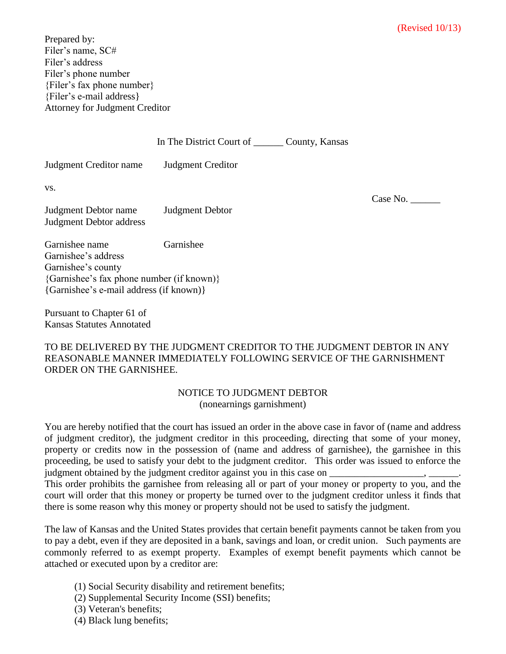Prepared by: Filer's name, SC# Filer's address Filer's phone number {Filer's fax phone number} {Filer's e-mail address} Attorney for Judgment Creditor

|                                                                 | In The District Court of _________ County, Kansas |          |
|-----------------------------------------------------------------|---------------------------------------------------|----------|
| Judgment Creditor name                                          | <b>Judgment Creditor</b>                          |          |
| VS.                                                             |                                                   | Case No. |
| Judgment Debtor name<br>Judgment Debtor address                 | <b>Judgment Debtor</b>                            |          |
| Garnishee name<br>Garnishee's address                           | Garnishee                                         |          |
| Garnishee's county<br>{Garnishee's fax phone number (if known)} |                                                   |          |
| {Garnishee's e-mail address (if known)}                         |                                                   |          |

Pursuant to Chapter 61 of Kansas Statutes Annotated

## TO BE DELIVERED BY THE JUDGMENT CREDITOR TO THE JUDGMENT DEBTOR IN ANY REASONABLE MANNER IMMEDIATELY FOLLOWING SERVICE OF THE GARNISHMENT ORDER ON THE GARNISHEE.

## NOTICE TO JUDGMENT DEBTOR (nonearnings garnishment)

You are hereby notified that the court has issued an order in the above case in favor of (name and address of judgment creditor), the judgment creditor in this proceeding, directing that some of your money, property or credits now in the possession of (name and address of garnishee), the garnishee in this proceeding, be used to satisfy your debt to the judgment creditor. This order was issued to enforce the judgment obtained by the judgment creditor against you in this case on \_\_\_\_\_\_\_\_\_\_\_\_\_\_\_\_

This order prohibits the garnishee from releasing all or part of your money or property to you, and the court will order that this money or property be turned over to the judgment creditor unless it finds that there is some reason why this money or property should not be used to satisfy the judgment.

The law of Kansas and the United States provides that certain benefit payments cannot be taken from you to pay a debt, even if they are deposited in a bank, savings and loan, or credit union. Such payments are commonly referred to as exempt property. Examples of exempt benefit payments which cannot be attached or executed upon by a creditor are:

- (1) Social Security disability and retirement benefits;
- (2) Supplemental Security Income (SSI) benefits;
- (3) Veteran's benefits;
- (4) Black lung benefits;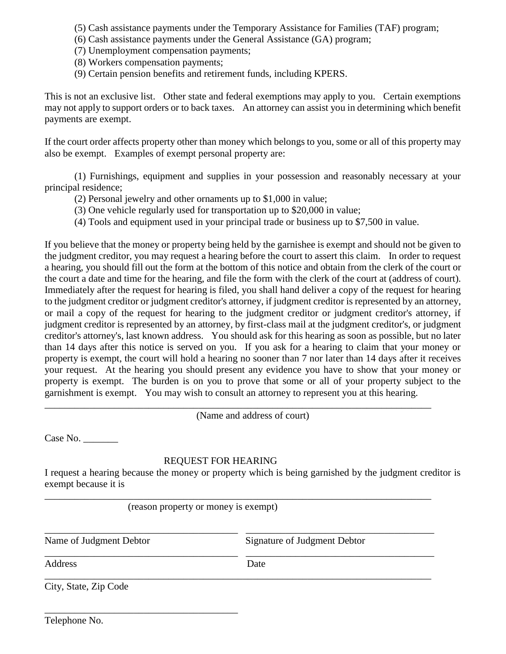- (5) Cash assistance payments under the Temporary Assistance for Families (TAF) program;
- (6) Cash assistance payments under the General Assistance (GA) program;
- (7) Unemployment compensation payments;
- (8) Workers compensation payments;
- (9) Certain pension benefits and retirement funds, including KPERS.

This is not an exclusive list. Other state and federal exemptions may apply to you. Certain exemptions may not apply to support orders or to back taxes. An attorney can assist you in determining which benefit payments are exempt.

If the court order affects property other than money which belongs to you, some or all of this property may also be exempt. Examples of exempt personal property are:

(1) Furnishings, equipment and supplies in your possession and reasonably necessary at your principal residence;

- (2) Personal jewelry and other ornaments up to \$1,000 in value;
- (3) One vehicle regularly used for transportation up to \$20,000 in value;
- (4) Tools and equipment used in your principal trade or business up to \$7,500 in value.

If you believe that the money or property being held by the garnishee is exempt and should not be given to the judgment creditor, you may request a hearing before the court to assert this claim. In order to request a hearing, you should fill out the form at the bottom of this notice and obtain from the clerk of the court or the court a date and time for the hearing, and file the form with the clerk of the court at (address of court). Immediately after the request for hearing is filed, you shall hand deliver a copy of the request for hearing to the judgment creditor or judgment creditor's attorney, if judgment creditor is represented by an attorney, or mail a copy of the request for hearing to the judgment creditor or judgment creditor's attorney, if judgment creditor is represented by an attorney, by first-class mail at the judgment creditor's, or judgment creditor's attorney's, last known address. You should ask for this hearing as soon as possible, but no later than 14 days after this notice is served on you. If you ask for a hearing to claim that your money or property is exempt, the court will hold a hearing no sooner than 7 nor later than 14 days after it receives your request. At the hearing you should present any evidence you have to show that your money or property is exempt. The burden is on you to prove that some or all of your property subject to the garnishment is exempt. You may wish to consult an attorney to represent you at this hearing. \_\_\_\_\_\_\_\_\_\_\_\_\_\_\_\_\_\_\_\_\_\_\_\_\_\_\_\_\_\_\_\_\_\_\_\_\_\_\_\_\_\_\_\_\_\_\_\_\_\_\_\_\_\_\_\_\_\_\_\_\_\_\_\_\_\_\_\_\_\_\_\_\_\_\_\_\_\_

(Name and address of court)

Case No. \_\_\_\_\_\_\_

## REQUEST FOR HEARING

I request a hearing because the money or property which is being garnished by the judgment creditor is exempt because it is

\_\_\_\_\_\_\_\_\_\_\_\_\_\_\_\_\_\_\_\_\_\_\_\_\_\_\_\_\_\_\_\_\_\_\_\_\_\_\_\_\_\_\_\_\_\_\_\_\_\_\_\_\_\_\_\_\_\_\_\_\_\_\_\_\_\_\_\_\_\_\_\_\_\_\_\_\_\_

\_\_\_\_\_\_\_\_\_\_\_\_\_\_\_\_\_\_\_\_\_\_\_\_\_\_\_\_\_\_\_\_\_\_\_\_\_\_\_ \_\_\_\_\_\_\_\_\_\_\_\_\_\_\_\_\_\_\_\_\_\_\_\_\_\_\_\_\_\_\_\_\_\_\_\_\_\_

\_\_\_\_\_\_\_\_\_\_\_\_\_\_\_\_\_\_\_\_\_\_\_\_\_\_\_\_\_\_\_\_\_\_\_\_\_\_\_\_\_\_\_\_\_\_\_\_\_\_\_\_\_\_\_\_\_\_\_\_\_\_\_\_\_\_\_\_\_\_\_\_\_\_\_\_\_\_

(reason property or money is exempt)

\_\_\_\_\_\_\_\_\_\_\_\_\_\_\_\_\_\_\_\_\_\_\_\_\_\_\_\_\_\_\_\_\_\_\_\_\_\_\_

\_\_\_\_\_\_\_\_\_\_\_\_\_\_\_\_\_\_\_\_\_\_\_\_\_\_\_\_\_\_\_\_\_\_\_\_\_\_\_ \_\_\_\_\_\_\_\_\_\_\_\_\_\_\_\_\_\_\_\_\_\_\_\_\_\_\_\_\_\_\_\_\_\_\_\_\_\_ Name of Judgment Debtor Signature of Judgment Debtor

Address Date

City, State, Zip Code

Telephone No.